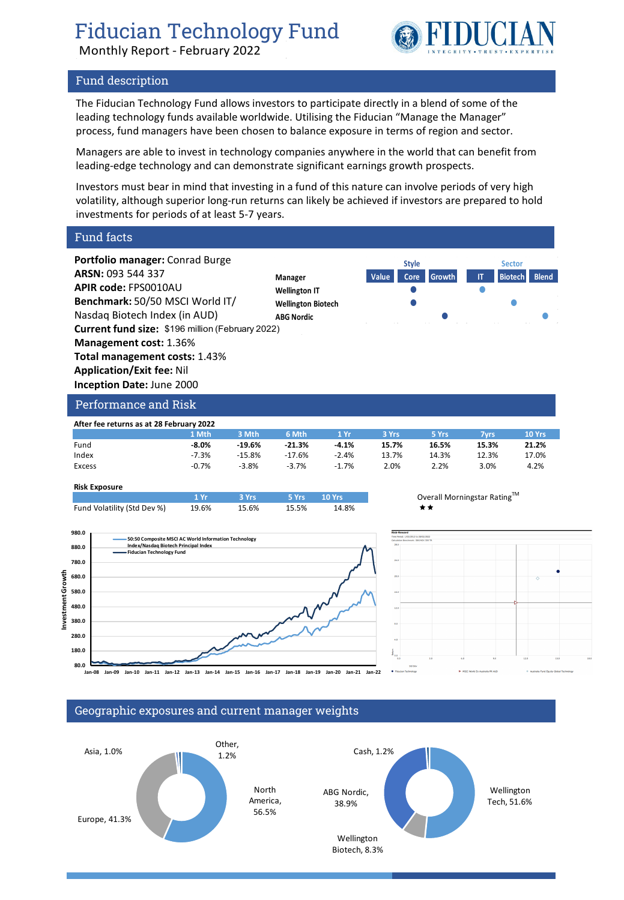Monthly Report - February 2022



# Fund description

The Fiducian Technology Fund allows investors to participate directly in a blend of some of the leading technology funds available worldwide. Utilising the Fiducian "Manage the Manager" process, fund managers have been chosen to balance exposure in terms of region and sector.

Managers are able to invest in technology companies anywhere in the world that can benefit from leading-edge technology and can demonstrate significant earnings growth prospects.

Investors must bear in mind that investing in a fund of this nature can involve periods of very high volatility, although superior long-run returns can likely be achieved if investors are prepared to hold investments for periods of at least 5-7 years.

Fund facts



### **Risk Exposure**

|                             | $\blacksquare$ | $-$ 3 Yrs $-$ | 5 Yrs 10 Yrs 10 Yrs 10 Yrs 10 Yrs 10 Yrs 10 Yrs 10 Yrs 10 Yrs 10 Yrs 10 Yrs 10 Yrs 10 Yrs 10 Yrs 10 Y |       | Over |
|-----------------------------|----------------|---------------|-------------------------------------------------------------------------------------------------------|-------|------|
| Fund Volatility (Std Dev %) | 19.6%          | 15.6%         | 15.5%                                                                                                 | 14.8% | **   |







# Geographic exposures and current manager weights